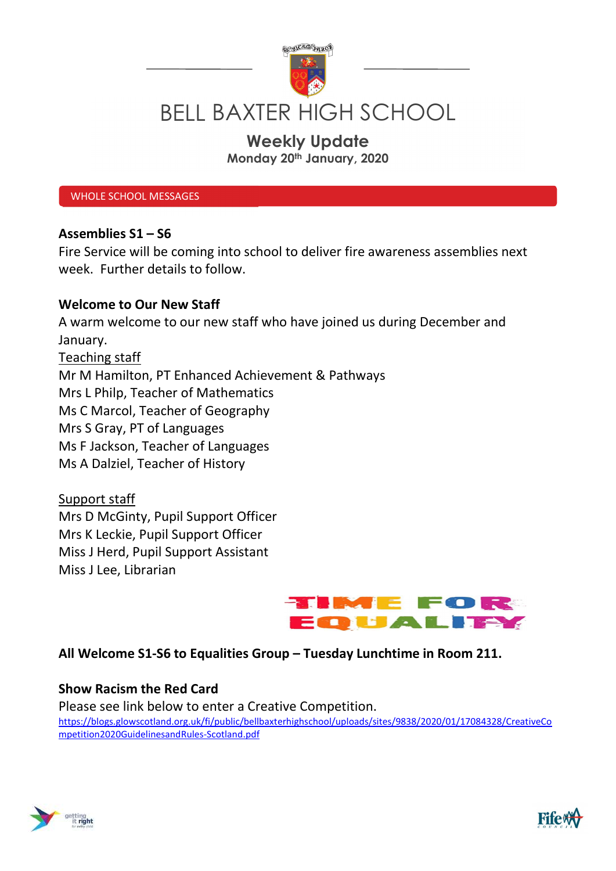

# BELL BAXTER HIGH SCHOOL

# Weekly Update

Monday 20th January, 2020

WHOLE SCHOOL MESSAGES

#### Assemblies S1 – S6

Fire Service will be coming into school to deliver fire awareness assemblies next week. Further details to follow.

#### Welcome to Our New Staff

A warm welcome to our new staff who have joined us during December and January. Teaching staff Mr M Hamilton, PT Enhanced Achievement & Pathways Mrs L Philp, Teacher of Mathematics Ms C Marcol, Teacher of Geography Mrs S Gray, PT of Languages Ms F Jackson, Teacher of Languages Ms A Dalziel, Teacher of History

Support staff Mrs D McGinty, Pupil Support Officer Mrs K Leckie, Pupil Support Officer Miss J Herd, Pupil Support Assistant Miss J Lee, Librarian



# All Welcome S1-S6 to Equalities Group – Tuesday Lunchtime in Room 211.

#### Show Racism the Red Card

Please see link below to enter a Creative Competition. https://blogs.glowscotland.org.uk/fi/public/bellbaxterhighschool/uploads/sites/9838/2020/01/17084328/CreativeCo mpetition2020GuidelinesandRules-Scotland.pdf



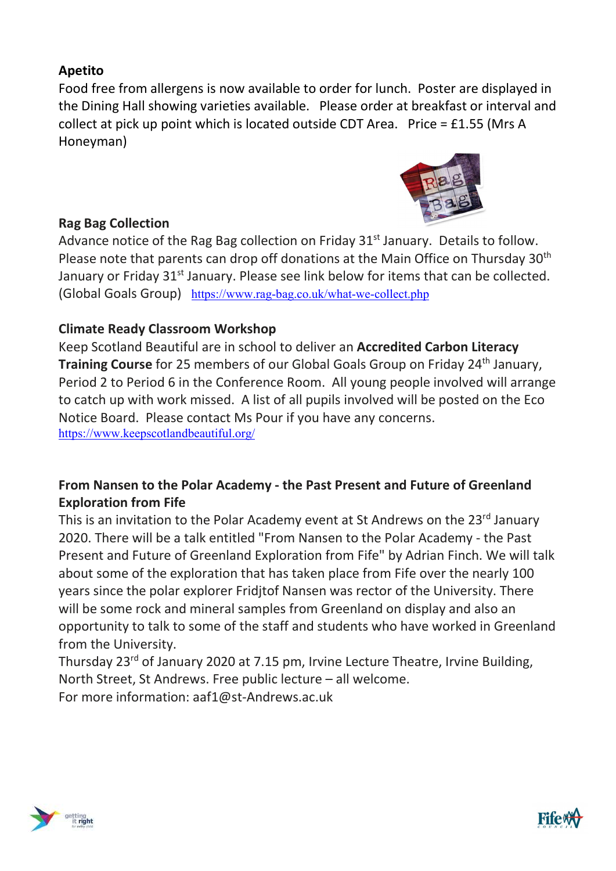# Apetito

Food free from allergens is now available to order for lunch. Poster are displayed in the Dining Hall showing varieties available. Please order at breakfast or interval and collect at pick up point which is located outside CDT Area. Price = £1.55 (Mrs A Honeyman)

### Rag Bag Collection



Advance notice of the Rag Bag collection on Friday  $31<sup>st</sup>$  January. Details to follow. Please note that parents can drop off donations at the Main Office on Thursday 30<sup>th</sup> January or Friday 31<sup>st</sup> January. Please see link below for items that can be collected. (Global Goals Group) https://www.rag-bag.co.uk/what-we-collect.php

# Climate Ready Classroom Workshop

Keep Scotland Beautiful are in school to deliver an Accredited Carbon Literacy **Training Course** for 25 members of our Global Goals Group on Friday 24<sup>th</sup> January, Period 2 to Period 6 in the Conference Room. All young people involved will arrange to catch up with work missed. A list of all pupils involved will be posted on the Eco Notice Board. Please contact Ms Pour if you have any concerns. https://www.keepscotlandbeautiful.org/

# From Nansen to the Polar Academy - the Past Present and Future of Greenland Exploration from Fife

This is an invitation to the Polar Academy event at St Andrews on the 23<sup>rd</sup> January 2020. There will be a talk entitled "From Nansen to the Polar Academy - the Past Present and Future of Greenland Exploration from Fife" by Adrian Finch. We will talk about some of the exploration that has taken place from Fife over the nearly 100 years since the polar explorer Fridjtof Nansen was rector of the University. There will be some rock and mineral samples from Greenland on display and also an opportunity to talk to some of the staff and students who have worked in Greenland from the University.

Thursday 23rd of January 2020 at 7.15 pm, Irvine Lecture Theatre, Irvine Building, North Street, St Andrews. Free public lecture – all welcome.

For more information: aaf1@st-Andrews.ac.uk



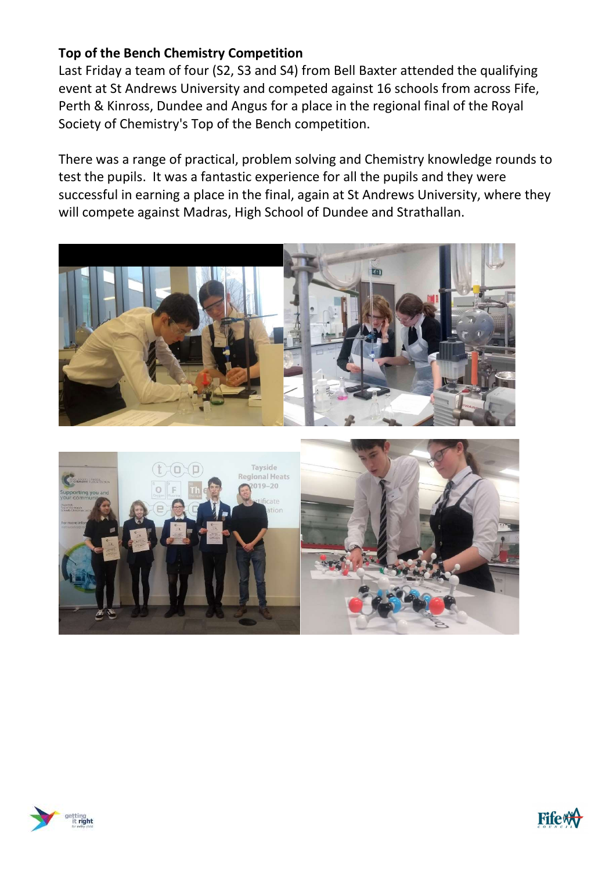# Top of the Bench Chemistry Competition

Last Friday a team of four (S2, S3 and S4) from Bell Baxter attended the qualifying event at St Andrews University and competed against 16 schools from across Fife, Perth & Kinross, Dundee and Angus for a place in the regional final of the Royal Society of Chemistry's Top of the Bench competition.

There was a range of practical, problem solving and Chemistry knowledge rounds to test the pupils. It was a fantastic experience for all the pupils and they were successful in earning a place in the final, again at St Andrews University, where they will compete against Madras, High School of Dundee and Strathallan.







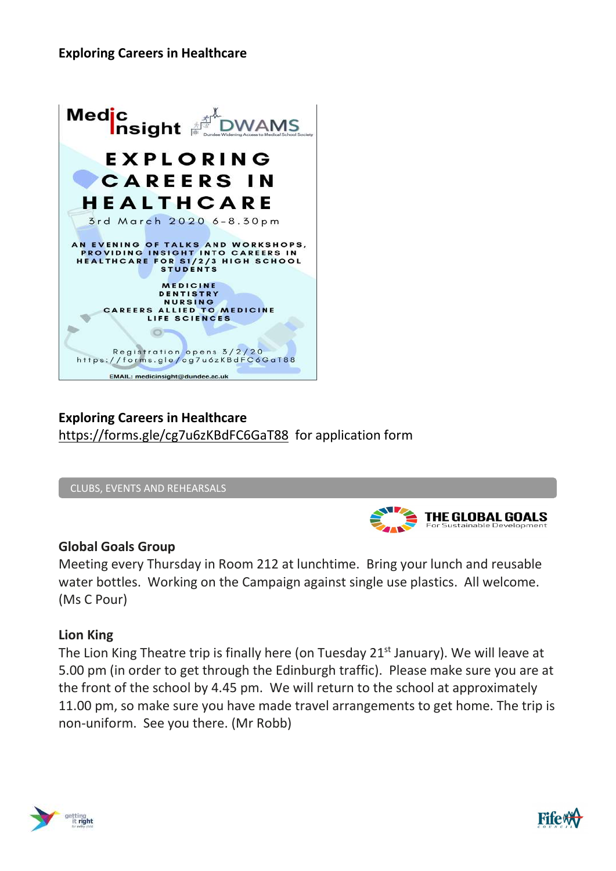#### Exploring Careers in Healthcare



# Exploring Careers in Healthcare https://forms.gle/cg7u6zKBdFC6GaT88 for application form

CLUBS, EVENTS AND REHEARSALS



#### Global Goals Group

Meeting every Thursday in Room 212 at lunchtime. Bring your lunch and reusable water bottles. Working on the Campaign against single use plastics. All welcome. (Ms C Pour)

#### Lion King

The Lion King Theatre trip is finally here (on Tuesday 21<sup>st</sup> January). We will leave at 5.00 pm (in order to get through the Edinburgh traffic). Please make sure you are at the front of the school by 4.45 pm. We will return to the school at approximately 11.00 pm, so make sure you have made travel arrangements to get home. The trip is non-uniform. See you there. (Mr Robb)